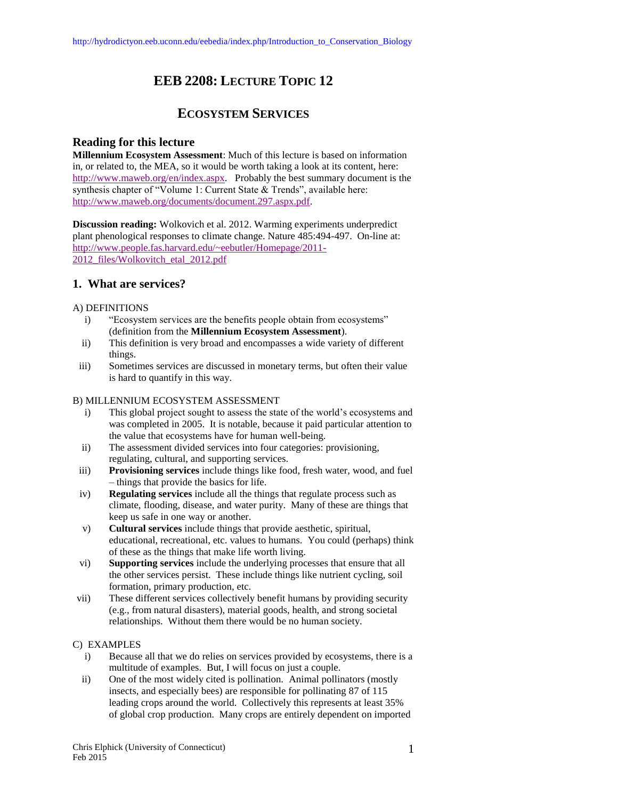# **EEB 2208: LECTURE TOPIC 12**

## **ECOSYSTEM SERVICES**

## **Reading for this lecture**

**Millennium Ecosystem Assessment**: Much of this lecture is based on information in, or related to, the MEA, so it would be worth taking a look at its content, here: [http://www.maweb.org/en/index.aspx.](http://www.maweb.org/en/index.aspx) Probably the best summary document is the synthesis chapter of "Volume 1: Current State & Trends", available here: [http://www.maweb.org/documents/document.297.aspx.pdf.](http://www.maweb.org/documents/document.297.aspx.pdf)

**Discussion reading:** Wolkovich et al. 2012. Warming experiments underpredict plant phenological responses to climate change. Nature 485:494-497. On-line at: [http://www.people.fas.harvard.edu/~eebutler/Homepage/2011-](http://www.people.fas.harvard.edu/~eebutler/Homepage/2011-2012_files/Wolkovitch_etal_2012.pdf) 2012 files/Wolkovitch\_etal\_2012.pdf

## **1. What are services?**

### A) DEFINITIONS

- i) "Ecosystem services are the benefits people obtain from ecosystems" (definition from the **Millennium Ecosystem Assessment**).
- ii) This definition is very broad and encompasses a wide variety of different things.
- iii) Sometimes services are discussed in monetary terms, but often their value is hard to quantify in this way.

#### B) MILLENNIUM ECOSYSTEM ASSESSMENT

- i) This global project sought to assess the state of the world's ecosystems and was completed in 2005. It is notable, because it paid particular attention to the value that ecosystems have for human well-being.
- ii) The assessment divided services into four categories: provisioning, regulating, cultural, and supporting services.
- iii) **Provisioning services** include things like food, fresh water, wood, and fuel – things that provide the basics for life.
- iv) **Regulating services** include all the things that regulate process such as climate, flooding, disease, and water purity. Many of these are things that keep us safe in one way or another.
- v) **Cultural services** include things that provide aesthetic, spiritual, educational, recreational, etc. values to humans. You could (perhaps) think of these as the things that make life worth living.
- vi) **Supporting services** include the underlying processes that ensure that all the other services persist. These include things like nutrient cycling, soil formation, primary production, etc.
- vii) These different services collectively benefit humans by providing security (e.g., from natural disasters), material goods, health, and strong societal relationships. Without them there would be no human society.

#### C) EXAMPLES

- i) Because all that we do relies on services provided by ecosystems, there is a multitude of examples. But, I will focus on just a couple.
- ii) One of the most widely cited is pollination. Animal pollinators (mostly insects, and especially bees) are responsible for pollinating 87 of 115 leading crops around the world. Collectively this represents at least 35% of global crop production. Many crops are entirely dependent on imported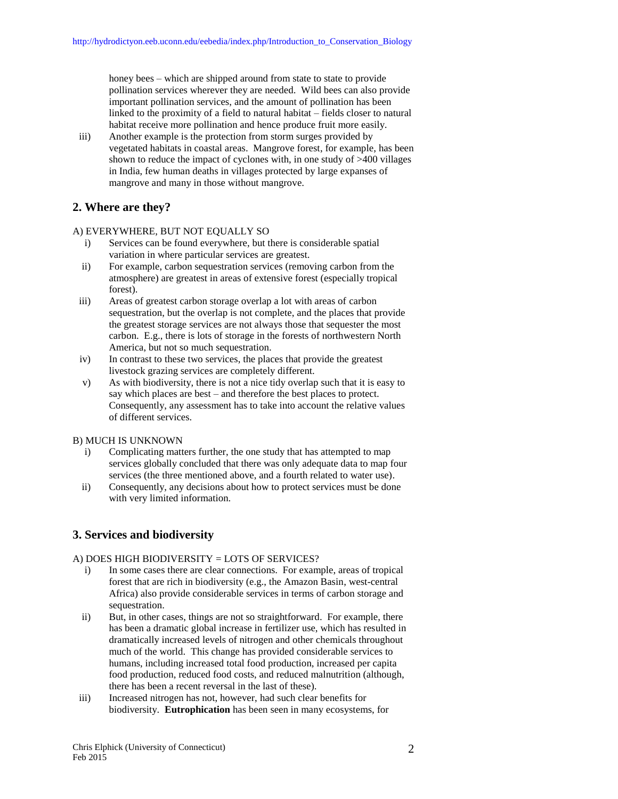honey bees – which are shipped around from state to state to provide pollination services wherever they are needed. Wild bees can also provide important pollination services, and the amount of pollination has been linked to the proximity of a field to natural habitat – fields closer to natural habitat receive more pollination and hence produce fruit more easily.

iii) Another example is the protection from storm surges provided by vegetated habitats in coastal areas. Mangrove forest, for example, has been shown to reduce the impact of cyclones with, in one study of >400 villages in India, few human deaths in villages protected by large expanses of mangrove and many in those without mangrove.

## **2. Where are they?**

#### A) EVERYWHERE, BUT NOT EQUALLY SO

- i) Services can be found everywhere, but there is considerable spatial variation in where particular services are greatest.
- ii) For example, carbon sequestration services (removing carbon from the atmosphere) are greatest in areas of extensive forest (especially tropical forest).
- iii) Areas of greatest carbon storage overlap a lot with areas of carbon sequestration, but the overlap is not complete, and the places that provide the greatest storage services are not always those that sequester the most carbon. E.g., there is lots of storage in the forests of northwestern North America, but not so much sequestration.
- iv) In contrast to these two services, the places that provide the greatest livestock grazing services are completely different.
- v) As with biodiversity, there is not a nice tidy overlap such that it is easy to say which places are best – and therefore the best places to protect. Consequently, any assessment has to take into account the relative values of different services.

#### B) MUCH IS UNKNOWN

- i) Complicating matters further, the one study that has attempted to map services globally concluded that there was only adequate data to map four services (the three mentioned above, and a fourth related to water use).
- ii) Consequently, any decisions about how to protect services must be done with very limited information.

## **3. Services and biodiversity**

#### A) DOES HIGH BIODIVERSITY = LOTS OF SERVICES?

- i) In some cases there are clear connections. For example, areas of tropical forest that are rich in biodiversity (e.g., the Amazon Basin, west-central Africa) also provide considerable services in terms of carbon storage and sequestration.
- ii) But, in other cases, things are not so straightforward. For example, there has been a dramatic global increase in fertilizer use, which has resulted in dramatically increased levels of nitrogen and other chemicals throughout much of the world. This change has provided considerable services to humans, including increased total food production, increased per capita food production, reduced food costs, and reduced malnutrition (although, there has been a recent reversal in the last of these).
- iii) Increased nitrogen has not, however, had such clear benefits for biodiversity. **Eutrophication** has been seen in many ecosystems, for